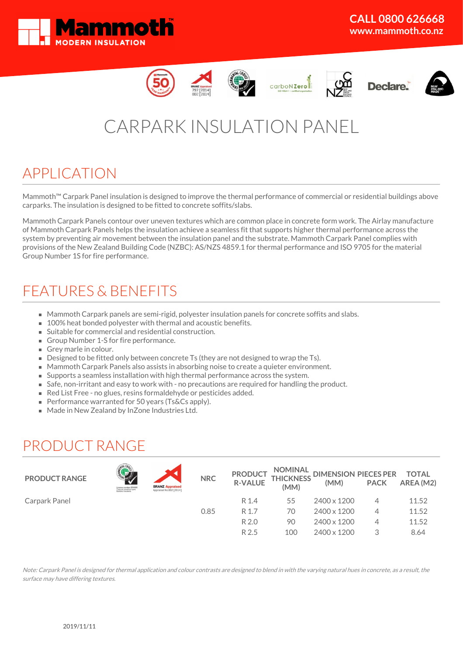













# CARPARK INSULATION PANEL

### APPLICATION

Mammoth™ Carpark Panel insulation is designed to improve the thermal performance of commercial or residential buildings above carparks. The insulation is designed to be fitted to concrete soffits/slabs.

Mammoth Carpark Panels contour over uneven textures which are common place in concrete form work. The Airlay manufacture of Mammoth Carpark Panels helps the insulation achieve a seamless fit that supports higher thermal performance across the system by preventing air movement between the insulation panel and the substrate. Mammoth Carpark Panel complies with provisions of the New Zealand Building Code (NZBC): AS/NZS 4859.1 for thermal performance and ISO 9705 for the material Group Number 1S for fire performance.

## FEATURES & BENEFITS

- Mammoth Carpark panels are semi-rigid, polyester insulation panels for concrete soffits and slabs.
- 100% heat bonded polyester with thermal and acoustic benefits.
- Suitable for commercial and residential construction.
- Group Number 1-S for fire performance.
- Grey marle in colour.
- Designed to be fitted only between concrete Ts (they are not designed to wrap the Ts).
- Mammoth Carpark Panels also assists in absorbing noise to create a quieter environment.
- Supports a seamless installation with high thermal performance across the system.
- Safe, non-irritant and easy to work with no precautions are required for handling the product.
- Red List Free no glues, resins formaldehyde or pesticides added.
- Performance warranted for 50 years (Ts&Cs apply).
- Made in New Zealand by InZone Industries Ltd.

### PRODUCT RANGE

| <b>PRODUCT RANGE</b> | Licence mamber 251000<br>Thermal (resistive-type)<br>Daliding insulants | <b>BRANZ Appraised</b><br>Appraisal No.802 [2014] | <b>NRC</b> | <b>PRODUCT</b><br><b>R-VALUE</b> | (MM) | NOMINAL DIMENSION PIECES PER TOTAL<br>THICKNESS (MAA) BACK AREA (MC<br>(MM) | <b>PACK</b> | AREA (M2) |
|----------------------|-------------------------------------------------------------------------|---------------------------------------------------|------------|----------------------------------|------|-----------------------------------------------------------------------------|-------------|-----------|
| Carpark Panel        |                                                                         |                                                   |            | R 1.4                            | 55   | 2400 x 1200                                                                 |             | 11.52     |
|                      |                                                                         |                                                   | 0.85       | R 1.7                            | 70   | 2400 x 1200                                                                 | 4           | 11.52     |
|                      |                                                                         |                                                   |            | R 2.0                            | 90   | 2400 x 1200                                                                 | 4           | 11.52     |
|                      |                                                                         |                                                   |            | R 2.5                            | 100  | 2400 x 1200                                                                 |             | 8.64      |

Note: Carpark Panel is designed for thermal application and colour contrasts are designed to blend in with the varying natural hues in concrete, as <sup>a</sup> result, the surface may have differing textures.